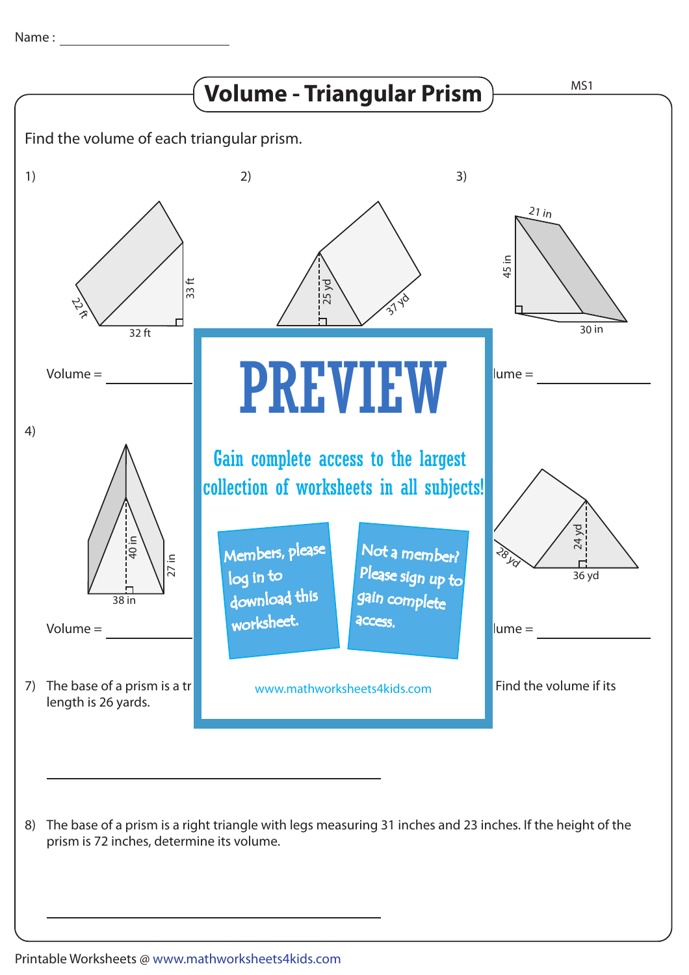